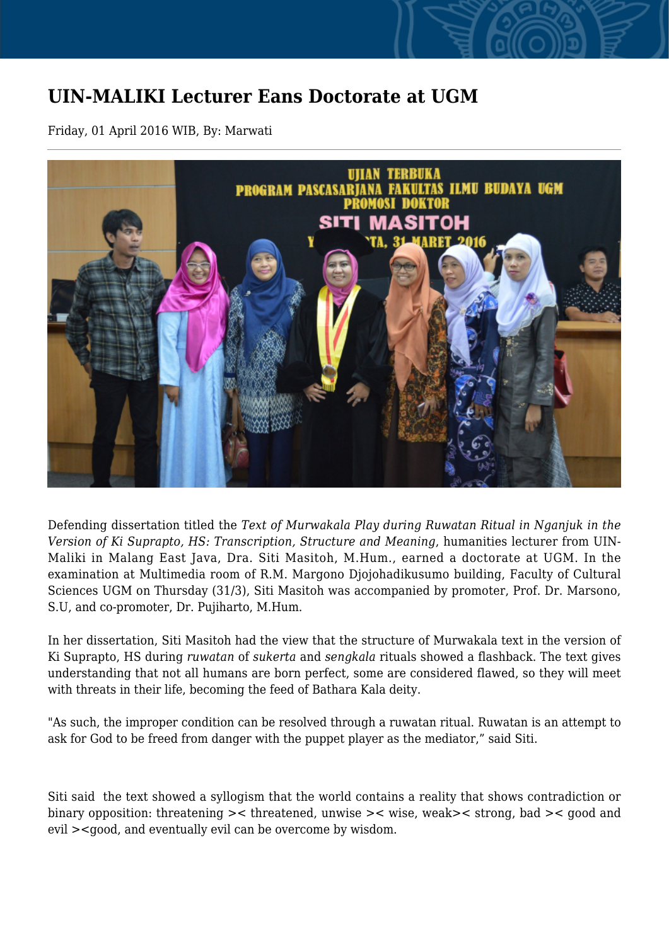## **UIN-MALIKI Lecturer Eans Doctorate at UGM**

Friday, 01 April 2016 WIB, By: Marwati



Defending dissertation titled the *Text of Murwakala Play during Ruwatan Ritual in Nganjuk in the Version of Ki Suprapto, HS: Transcription, Structure and Meaning*, humanities lecturer from UIN-Maliki in Malang East Java, Dra. Siti Masitoh, M.Hum., earned a doctorate at UGM. In the examination at Multimedia room of R.M. Margono Djojohadikusumo building, Faculty of Cultural Sciences UGM on Thursday (31/3), Siti Masitoh was accompanied by promoter, Prof. Dr. Marsono, S.U, and co-promoter, Dr. Pujiharto, M.Hum.

In her dissertation, Siti Masitoh had the view that the structure of Murwakala text in the version of Ki Suprapto, HS during *ruwatan* of *sukerta* and *sengkala* rituals showed a flashback. The text gives understanding that not all humans are born perfect, some are considered flawed, so they will meet with threats in their life, becoming the feed of Bathara Kala deity.

"As such, the improper condition can be resolved through a ruwatan ritual. Ruwatan is an attempt to ask for God to be freed from danger with the puppet player as the mediator," said Siti.

Siti said the text showed a syllogism that the world contains a reality that shows contradiction or binary opposition: threatening >< threatened, unwise >< wise, weak>< strong, bad >< good and evil ><good, and eventually evil can be overcome by wisdom.